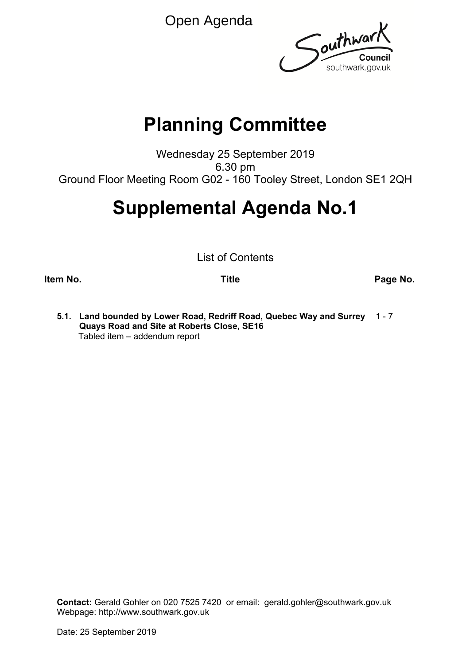Open Agenda



# **Planning Committee**

Wednesday 25 September 2019 6.30 pm Ground Floor Meeting Room G02 - 160 Tooley Street, London SE1 2QH

# **Supplemental Agenda No.1**

List of Contents

**Item No. Title Page No.**

**5.1. Land bounded by Lower Road, Redriff Road, Quebec Way and Surrey** 1 - 7 **Quays Road and Site at Roberts Close, SE16** Tabled item – addendum report

**Contact:** Gerald Gohler on 020 7525 7420 or email: gerald.gohler@southwark.gov.uk Webpage: http://www.southwark.gov.uk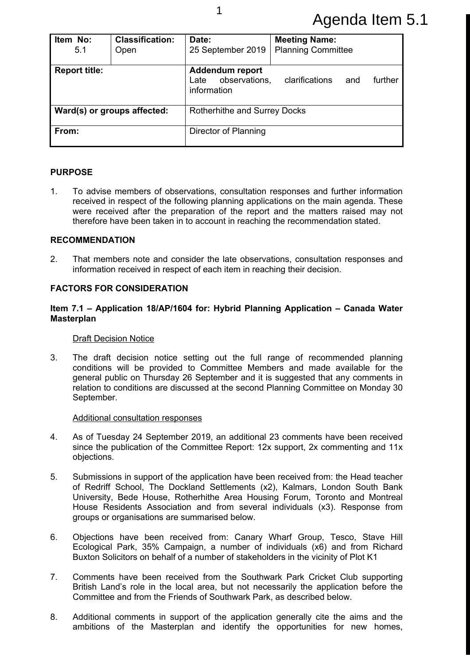# Agenda Item 5.1

| Item No:<br>5.1      | <b>Classification:</b><br>Open | Date:<br>25 September 2019                                                                         | <b>Meeting Name:</b><br><b>Planning Committee</b> |  |  |  |
|----------------------|--------------------------------|----------------------------------------------------------------------------------------------------|---------------------------------------------------|--|--|--|
| <b>Report title:</b> |                                | <b>Addendum report</b><br>observations,<br>clarifications<br>further<br>Late<br>and<br>information |                                                   |  |  |  |
|                      | Ward(s) or groups affected:    | Rotherhithe and Surrey Docks                                                                       |                                                   |  |  |  |
| From:                |                                | Director of Planning                                                                               |                                                   |  |  |  |

# **PURPOSE**

1. To advise members of observations, consultation responses and further information received in respect of the following planning applications on the main agenda. These were received after the preparation of the report and the matters raised may not therefore have been taken in to account in reaching the recommendation stated.

### **RECOMMENDATION**

2. That members note and consider the late observations, consultation responses and information received in respect of each item in reaching their decision.

# **FACTORS FOR CONSIDERATION**

#### **Item 7.1 – Application 18/AP/1604 for: Hybrid Planning Application – Canada Water Masterplan**

#### Draft Decision Notice

3. The draft decision notice setting out the full range of recommended planning conditions will be provided to Committee Members and made available for the general public on Thursday 26 September and it is suggested that any comments in relation to conditions are discussed at the second Planning Committee on Monday 30 September.

#### Additional consultation responses

- 4. As of Tuesday 24 September 2019, an additional 23 comments have been received since the publication of the Committee Report: 12x support, 2x commenting and 11x objections.
- 5. Submissions in support of the application have been received from: the Head teacher of Redriff School, The Dockland Settlements (x2), Kalmars, London South Bank University, Bede House, Rotherhithe Area Housing Forum, Toronto and Montreal House Residents Association and from several individuals (x3). Response from groups or organisations are summarised below.
- 6. Objections have been received from: Canary Wharf Group, Tesco, Stave Hill Ecological Park, 35% Campaign, a number of individuals (x6) and from Richard Buxton Solicitors on behalf of a number of stakeholders in the vicinity of Plot K1
- 7. Comments have been received from the Southwark Park Cricket Club supporting British Land's role in the local area, but not necessarily the application before the Committee and from the Friends of Southwark Park, as described below.
- 8. Additional comments in support of the application generally cite the aims and the ambitions of the Masterplan and identify the opportunities for new homes,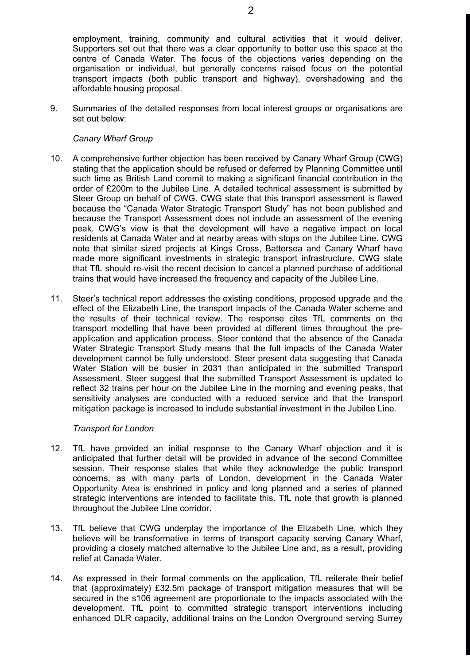employment, training, community and cultural activities that it would deliver. Supporters set out that there was a clear opportunity to better use this space at the centre of Canada Water. The focus of the objections varies depending on the organisation or individual, but generally concerns raised focus on the potential transport impacts (both public transport and highway), overshadowing and the affordable housing proposal.

9. Summaries of the detailed responses from local interest groups or organisations are set out below:

#### *Canary Wharf Group*

- 10. A comprehensive further objection has been received by Canary Wharf Group (CWG) stating that the application should be refused or deferred by Planning Committee until such time as British Land commit to making a significant financial contribution in the order of £200m to the Jubilee Line. A detailed technical assessment is submitted by Steer Group on behalf of CWG. CWG state that this transport assessment is flawed because the "Canada Water Strategic Transport Study" has not been published and because the Transport Assessment does not include an assessment of the evening peak. CWG's view is that the development will have a negative impact on local residents at Canada Water and at nearby areas with stops on the Jubilee Line. CWG note that similar sized projects at Kings Cross, Battersea and Canary Wharf have made more significant investments in strategic transport infrastructure. CWG state that TfL should re-visit the recent decision to cancel a planned purchase of additional trains that would have increased the frequency and capacity of the Jubilee Line.
- 11. Steer's technical report addresses the existing conditions, proposed upgrade and the effect of the Elizabeth Line, the transport impacts of the Canada Water scheme and the results of their technical review. The response cites TfL comments on the transport modelling that have been provided at different times throughout the preapplication and application process. Steer contend that the absence of the Canada Water Strategic Transport Study means that the full impacts of the Canada Water development cannot be fully understood. Steer present data suggesting that Canada Water Station will be busier in 2031 than anticipated in the submitted Transport Assessment. Steer suggest that the submitted Transport Assessment is updated to reflect 32 trains per hour on the Jubilee Line in the morning and evening peaks, that sensitivity analyses are conducted with a reduced service and that the transport mitigation package is increased to include substantial investment in the Jubilee Line.

#### *Transport for London*

- 12. TfL have provided an initial response to the Canary Wharf objection and it is anticipated that further detail will be provided in advance of the second Committee session. Their response states that while they acknowledge the public transport concerns, as with many parts of London, development in the Canada Water Opportunity Area is enshrined in policy and long planned and a series of planned strategic interventions are intended to facilitate this. TfL note that growth is planned throughout the Jubilee Line corridor.
- 13. TfL believe that CWG underplay the importance of the Elizabeth Line, which they believe will be transformative in terms of transport capacity serving Canary Wharf, providing a closely matched alternative to the Jubilee Line and, as a result, providing relief at Canada Water.
- 14. As expressed in their formal comments on the application, TfL reiterate their belief that (approximately) £32.5m package of transport mitigation measures that will be secured in the s106 agreement are proportionate to the impacts associated with the development. TfL point to committed strategic transport interventions including enhanced DLR capacity, additional trains on the London Overground serving Surrey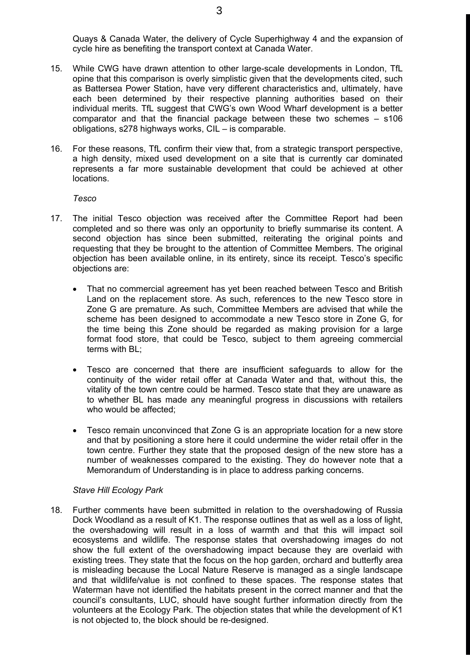Quays & Canada Water, the delivery of Cycle Superhighway 4 and the expansion of cycle hire as benefiting the transport context at Canada Water.

- 15. While CWG have drawn attention to other large-scale developments in London, TfL opine that this comparison is overly simplistic given that the developments cited, such as Battersea Power Station, have very different characteristics and, ultimately, have each been determined by their respective planning authorities based on their individual merits. TfL suggest that CWG's own Wood Wharf development is a better comparator and that the financial package between these two schemes – s106 obligations, s278 highways works, CIL – is comparable.
- 16. For these reasons, TfL confirm their view that, from a strategic transport perspective, a high density, mixed used development on a site that is currently car dominated represents a far more sustainable development that could be achieved at other locations.

*Tesco*

- 17. The initial Tesco objection was received after the Committee Report had been completed and so there was only an opportunity to briefly summarise its content. A second objection has since been submitted, reiterating the original points and requesting that they be brought to the attention of Committee Members. The original objection has been available online, in its entirety, since its receipt. Tesco's specific objections are:
	- That no commercial agreement has yet been reached between Tesco and British Land on the replacement store. As such, references to the new Tesco store in Zone G are premature. As such, Committee Members are advised that while the scheme has been designed to accommodate a new Tesco store in Zone G, for the time being this Zone should be regarded as making provision for a large format food store, that could be Tesco, subject to them agreeing commercial terms with BL;
	- Tesco are concerned that there are insufficient safeguards to allow for the continuity of the wider retail offer at Canada Water and that, without this, the vitality of the town centre could be harmed. Tesco state that they are unaware as to whether BL has made any meaningful progress in discussions with retailers who would be affected;
	- Tesco remain unconvinced that Zone G is an appropriate location for a new store and that by positioning a store here it could undermine the wider retail offer in the town centre. Further they state that the proposed design of the new store has a number of weaknesses compared to the existing. They do however note that a Memorandum of Understanding is in place to address parking concerns.

#### *Stave Hill Ecology Park*

18. Further comments have been submitted in relation to the overshadowing of Russia Dock Woodland as a result of K1. The response outlines that as well as a loss of light, the overshadowing will result in a loss of warmth and that this will impact soil ecosystems and wildlife. The response states that overshadowing images do not show the full extent of the overshadowing impact because they are overlaid with existing trees. They state that the focus on the hop garden, orchard and butterfly area is misleading because the Local Nature Reserve is managed as a single landscape and that wildlife/value is not confined to these spaces. The response states that Waterman have not identified the habitats present in the correct manner and that the council's consultants, LUC, should have sought further information directly from the volunteers at the Ecology Park. The objection states that while the development of K1 is not objected to, the block should be re-designed.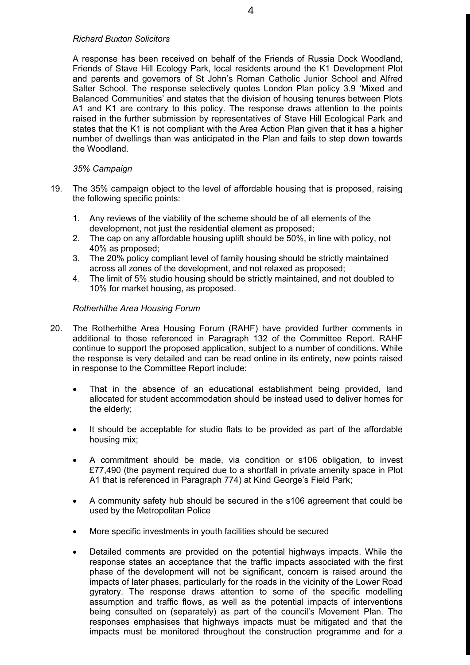#### *Richard Buxton Solicitors*

A response has been received on behalf of the Friends of Russia Dock Woodland, Friends of Stave Hill Ecology Park, local residents around the K1 Development Plot and parents and governors of St John's Roman Catholic Junior School and Alfred Salter School. The response selectively quotes London Plan policy 3.9 'Mixed and Balanced Communities' and states that the division of housing tenures between Plots A1 and K1 are contrary to this policy. The response draws attention to the points raised in the further submission by representatives of Stave Hill Ecological Park and states that the K1 is not compliant with the Area Action Plan given that it has a higher number of dwellings than was anticipated in the Plan and fails to step down towards the Woodland.

### *35% Campaign*

- 19. The 35% campaign object to the level of affordable housing that is proposed, raising the following specific points:
	- 1. Any reviews of the viability of the scheme should be of all elements of the development, not just the residential element as proposed;
	- 2. The cap on any affordable housing uplift should be 50%, in line with policy, not 40% as proposed;
	- 3. The 20% policy compliant level of family housing should be strictly maintained across all zones of the development, and not relaxed as proposed;
	- 4. The limit of 5% studio housing should be strictly maintained, and not doubled to 10% for market housing, as proposed.

### *Rotherhithe Area Housing Forum*

- 20. The Rotherhithe Area Housing Forum (RAHF) have provided further comments in additional to those referenced in Paragraph 132 of the Committee Report. RAHF continue to support the proposed application, subject to a number of conditions. While the response is very detailed and can be read online in its entirety, new points raised in response to the Committee Report include:
	- That in the absence of an educational establishment being provided, land allocated for student accommodation should be instead used to deliver homes for the elderly;
	- It should be acceptable for studio flats to be provided as part of the affordable housing mix;
	- A commitment should be made, via condition or s106 obligation, to invest £77,490 (the payment required due to a shortfall in private amenity space in Plot A1 that is referenced in Paragraph 774) at Kind George's Field Park;
	- A community safety hub should be secured in the s106 agreement that could be used by the Metropolitan Police
	- More specific investments in youth facilities should be secured
	- Detailed comments are provided on the potential highways impacts. While the response states an acceptance that the traffic impacts associated with the first phase of the development will not be significant, concern is raised around the impacts of later phases, particularly for the roads in the vicinity of the Lower Road gyratory. The response draws attention to some of the specific modelling assumption and traffic flows, as well as the potential impacts of interventions being consulted on (separately) as part of the council's Movement Plan. The responses emphasises that highways impacts must be mitigated and that the impacts must be monitored throughout the construction programme and for a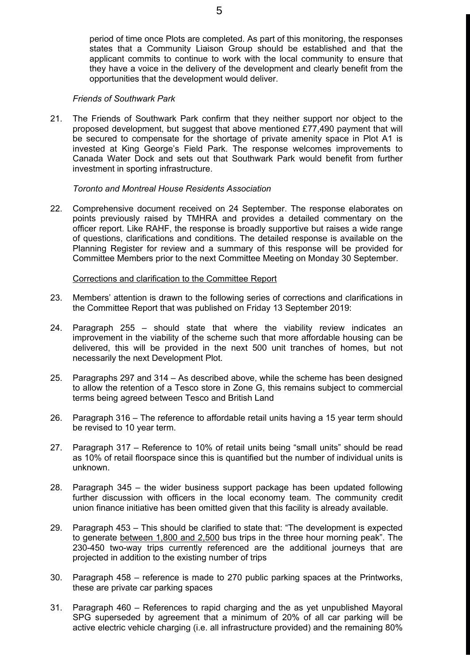period of time once Plots are completed. As part of this monitoring, the responses states that a Community Liaison Group should be established and that the applicant commits to continue to work with the local community to ensure that they have a voice in the delivery of the development and clearly benefit from the opportunities that the development would deliver.

#### *Friends of Southwark Park*

21. The Friends of Southwark Park confirm that they neither support nor object to the proposed development, but suggest that above mentioned £77,490 payment that will be secured to compensate for the shortage of private amenity space in Plot A1 is invested at King George's Field Park. The response welcomes improvements to Canada Water Dock and sets out that Southwark Park would benefit from further investment in sporting infrastructure.

#### *Toronto and Montreal House Residents Association*

22. Comprehensive document received on 24 September. The response elaborates on points previously raised by TMHRA and provides a detailed commentary on the officer report. Like RAHF, the response is broadly supportive but raises a wide range of questions, clarifications and conditions. The detailed response is available on the Planning Register for review and a summary of this response will be provided for Committee Members prior to the next Committee Meeting on Monday 30 September.

#### Corrections and clarification to the Committee Report

- 23. Members' attention is drawn to the following series of corrections and clarifications in the Committee Report that was published on Friday 13 September 2019:
- 24. Paragraph 255 should state that where the viability review indicates an improvement in the viability of the scheme such that more affordable housing can be delivered, this will be provided in the next 500 unit tranches of homes, but not necessarily the next Development Plot.
- 25. Paragraphs 297 and 314 As described above, while the scheme has been designed to allow the retention of a Tesco store in Zone G, this remains subject to commercial terms being agreed between Tesco and British Land
- 26. Paragraph 316 The reference to affordable retail units having a 15 year term should be revised to 10 year term.
- 27. Paragraph 317 Reference to 10% of retail units being "small units" should be read as 10% of retail floorspace since this is quantified but the number of individual units is unknown.
- 28. Paragraph 345 the wider business support package has been updated following further discussion with officers in the local economy team. The community credit union finance initiative has been omitted given that this facility is already available.
- 29. Paragraph 453 This should be clarified to state that: "The development is expected to generate between 1,800 and 2,500 bus trips in the three hour morning peak". The 230-450 two-way trips currently referenced are the additional journeys that are projected in addition to the existing number of trips
- 30. Paragraph 458 reference is made to 270 public parking spaces at the Printworks, these are private car parking spaces
- 31. Paragraph 460 References to rapid charging and the as yet unpublished Mayoral SPG superseded by agreement that a minimum of 20% of all car parking will be active electric vehicle charging (i.e. all infrastructure provided) and the remaining 80%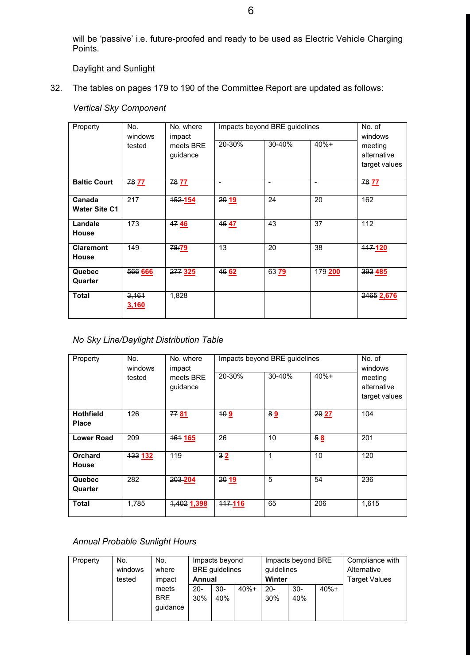will be 'passive' i.e. future-proofed and ready to be used as Electric Vehicle Charging Points.

# Daylight and Sunlight

32. The tables on pages 179 to 190 of the Committee Report are updated as follows:

### *Vertical Sky Component*

| Property                         | No.<br>windows | No. where<br>impact   | Impacts beyond BRE guidelines | No. of<br>windows        |                          |                                         |
|----------------------------------|----------------|-----------------------|-------------------------------|--------------------------|--------------------------|-----------------------------------------|
|                                  | tested         | meets BRE<br>guidance | 20-30%                        | 30-40%                   | $40% +$                  | meeting<br>alternative<br>target values |
| <b>Baltic Court</b>              | 78 77          | 78 77                 | $\overline{\phantom{a}}$      | $\overline{\phantom{0}}$ | $\overline{\phantom{a}}$ | 78 77                                   |
| Canada<br><b>Water Site C1</b>   | 217            | 152 154               | 2019                          | 24                       | 20                       | 162                                     |
| Landale<br><b>House</b>          | 173            | 4746                  | 4647                          | 43                       | 37                       | 112                                     |
| <b>Claremont</b><br><b>House</b> | 149            | 78/79                 | 13                            | 20                       | 38                       | 117-120                                 |
| Quebec<br>Quarter                | 566 666        | <b>277 325</b>        | 46 62                         | 63 79                    | 179 200                  | 393 485                                 |
| <b>Total</b>                     | 3,161<br>3,160 | 1,828                 |                               |                          |                          | 2465 2,676                              |

#### *No Sky Line/Daylight Distribution Table*

| Property                         | No.<br>windows | No. where<br>impact   | Impacts beyond BRE guidelines | No. of<br>windows |         |                                         |
|----------------------------------|----------------|-----------------------|-------------------------------|-------------------|---------|-----------------------------------------|
|                                  | tested         | meets BRE<br>guidance | 20-30%                        | 30-40%            | $40% +$ | meeting<br>alternative<br>target values |
| <b>Hothfield</b><br><b>Place</b> | 126            | 77 81                 | 409                           | 89                | 29 27   | 104                                     |
| <b>Lower Road</b>                | 209            | <b>464 165</b>        | 26                            | 10                | 58      | 201                                     |
| <b>Orchard</b><br><b>House</b>   | 133 132        | 119                   | 32                            | $\mathbf{1}$      | 10      | 120                                     |
| Quebec<br>Quarter                | 282            | 203-204               | 2019                          | 5                 | 54      | 236                                     |
| <b>Total</b>                     | 1,785          | 1,402 1,398           | 117-116                       | 65                | 206     | 1,615                                   |

# *Annual Probable Sunlight Hours*

| Property | No.     | No.        | Impacts beyond        |        | Impacts beyond BRE |        |        | Compliance with      |  |
|----------|---------|------------|-----------------------|--------|--------------------|--------|--------|----------------------|--|
|          | windows | where      | <b>BRE</b> guidelines |        | guidelines         |        |        | Alternative          |  |
|          | tested  | impact     | Annual                |        | Winter             |        |        | <b>Target Values</b> |  |
|          |         | meets      | $20 -$                | $30 -$ | $40% +$            | $20 -$ | $30 -$ | $40% +$              |  |
|          |         | <b>BRE</b> | 30%                   | 40%    |                    | 30%    | 40%    |                      |  |
|          |         | quidance   |                       |        |                    |        |        |                      |  |
|          |         |            |                       |        |                    |        |        |                      |  |